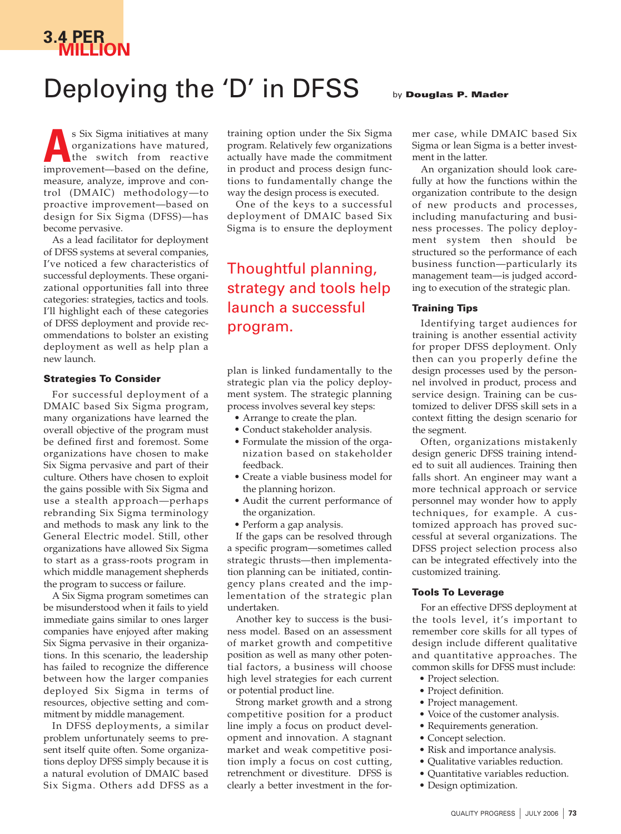# **3.4 PER MILLION**

## Deploying the 'D' in DFSS by Douglas P. Mader

### s Six Sigma initiatives at many organizations have matured, the switch from reactive s Six Sigma initiatives at many organizations have matured, the switch from reactive improvement—based on the define, measure, analyze, improve and control (DMAIC) methodology—to proactive improvement—based on design for Six Sigma (DFSS)—has become pervasive.

As a lead facilitator for deployment of DFSS systems at several companies, I've noticed a few characteristics of successful deployments. These organizational opportunities fall into three categories: strategies, tactics and tools. I'll highlight each of these categories of DFSS deployment and provide recommendations to bolster an existing deployment as well as help plan a new launch.

#### **Strategies To Consider**

For successful deployment of a DMAIC based Six Sigma program, many organizations have learned the overall objective of the program must be defined first and foremost. Some organizations have chosen to make Six Sigma pervasive and part of their culture. Others have chosen to exploit the gains possible with Six Sigma and use a stealth approach—perhaps rebranding Six Sigma terminology and methods to mask any link to the General Electric model. Still, other organizations have allowed Six Sigma to start as a grass-roots program in which middle management shepherds the program to success or failure.

A Six Sigma program sometimes can be misunderstood when it fails to yield immediate gains similar to ones larger companies have enjoyed after making Six Sigma pervasive in their organizations. In this scenario, the leadership has failed to recognize the difference between how the larger companies deployed Six Sigma in terms of resources, objective setting and commitment by middle management.

In DFSS deployments, a similar problem unfortunately seems to present itself quite often. Some organizations deploy DFSS simply because it is a natural evolution of DMAIC based Six Sigma. Others add DFSS as a training option under the Six Sigma program. Relatively few organizations actually have made the commitment in product and process design functions to fundamentally change the way the design process is executed.

One of the keys to a successful deployment of DMAIC based Six Sigma is to ensure the deployment

### Thoughtful planning, strategy and tools help launch a successful program.

plan is linked fundamentally to the strategic plan via the policy deployment system. The strategic planning process involves several key steps:

- Arrange to create the plan.
- Conduct stakeholder analysis.
- Formulate the mission of the organization based on stakeholder feedback.
- Create a viable business model for the planning horizon.
- Audit the current performance of the organization.
- Perform a gap analysis.

If the gaps can be resolved through a specific program—sometimes called strategic thrusts—then implementation planning can be initiated, contingency plans created and the implementation of the strategic plan undertaken.

Another key to success is the business model. Based on an assessment of market growth and competitive position as well as many other potential factors, a business will choose high level strategies for each current or potential product line.

Strong market growth and a strong competitive position for a product line imply a focus on product development and innovation. A stagnant market and weak competitive position imply a focus on cost cutting, retrenchment or divestiture. DFSS is clearly a better investment in the for-

mer case, while DMAIC based Six Sigma or lean Sigma is a better investment in the latter.

An organization should look carefully at how the functions within the organization contribute to the design of new products and processes, including manufacturing and business processes. The policy deployment system then should be structured so the performance of each business function—particularly its management team—is judged according to execution of the strategic plan.

#### **Training Tips**

Identifying target audiences for training is another essential activity for proper DFSS deployment. Only then can you properly define the design processes used by the personnel involved in product, process and service design. Training can be customized to deliver DFSS skill sets in a context fitting the design scenario for the segment.

Often, organizations mistakenly design generic DFSS training intended to suit all audiences. Training then falls short. An engineer may want a more technical approach or service personnel may wonder how to apply techniques, for example. A customized approach has proved successful at several organizations. The DFSS project selection process also can be integrated effectively into the customized training.

#### **Tools To Leverage**

For an effective DFSS deployment at the tools level, it's important to remember core skills for all types of design include different qualitative and quantitative approaches. The common skills for DFSS must include:

- Project selection.
- Project definition.
- Project management.
- Voice of the customer analysis.
- Requirements generation.
- Concept selection.
- Risk and importance analysis.
- Qualitative variables reduction.
	- Quantitative variables reduction.
	- Design optimization.